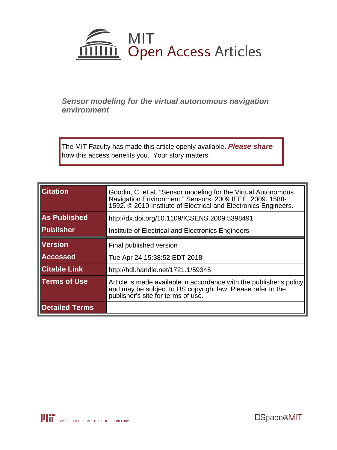

# **Sensor modeling for the virtual autonomous navigation environment**

The MIT Faculty has made this article openly available. **[Please share](http://libraries.mit.edu/forms/dspace-oa-articles.html)** how this access benefits you. Your story matters.

| <b>Citation</b>       | Goodin, C. et al. "Sensor modeling for the Virtual Autonomous<br>Navigation Environment." Sensors, 2009 IEEE. 2009. 1588-<br>1592. © 2010 Institute of Electrical and Electronics Engineers. |
|-----------------------|----------------------------------------------------------------------------------------------------------------------------------------------------------------------------------------------|
| <b>As Published</b>   | http://dx.doi.org/10.1109/ICSENS.2009.5398491                                                                                                                                                |
| Publisher             | Institute of Electrical and Electronics Engineers                                                                                                                                            |
| <b>Version</b>        | Final published version                                                                                                                                                                      |
| <b>Accessed</b>       | Tue Apr 24 15:38:52 EDT 2018                                                                                                                                                                 |
| <b>Citable Link</b>   | http://hdl.handle.net/1721.1/59345                                                                                                                                                           |
| <b>Terms of Use</b>   | Article is made available in accordance with the publisher's policy<br>and may be subject to US copyright law. Please refer to the<br>publisher's site for terms of use.                     |
| <b>Detailed Terms</b> |                                                                                                                                                                                              |

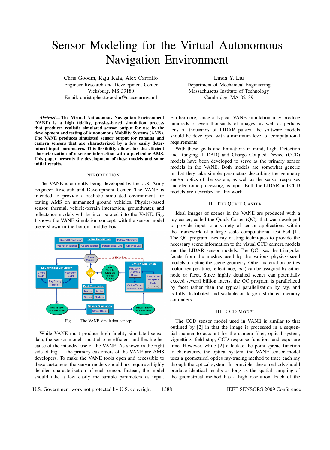# Sensor Modeling for the Virtual Autonomous Navigation Environment

Chris Goodin, Raju Kala, Alex Carrrillo Engineer Research and Development Center Vicksburg, MS 39180 Email: christopher.t.goodin@usace.army.mil

*Abstract***— The Virtual Autonomous Navigation Environment (VANE) is a high fidelity, physics-based simulation process that produces realistic simulated sensor output for use in the development and testing of Autonomous Mobility Systems (AMS). The VANE produces simulated sensor output for ranging and camera sensors that are characterized by a few easily determined input parameters. This flexibility allows for the efficient characterization of a sensor interaction with a particular AMS. This paper presents the development of these models and some initial results.**

#### I. INTRODUCTION

The VANE is currently being developed by the U.S. Army Engineer Research and Development Center. The VANE is intended to provide a realistic simulated environment for testing AMS on unmanned ground vehicles. Physics-based sensor, thermal, vehicle-terrain interaction, groundwater, and reflectance models will be incorporated into the VANE. Fig. 1 shows the VANE simulation concept, with the sensor model piece shown in the bottom middle box.



Fig. 1. The VANE simulation concept.

While VANE must produce high fidelity simulated sensor data, the sensor models must also be efficient and flexible because of the intended use of the VANE. As shown in the right side of Fig. 1, the primary customers of the VANE are AMS developers. To make the VANE tools open and accessible to these customers, the sensor models should not require a highly detailed characterization of each sensor. Instead, the model should take a few easily measurable parameters as input.

Linda Y. Liu Department of Mechanical Engineering Massachusetts Institute of Technology Cambridge, MA 02139

Furthermore, since a typical VANE simulation may produce hundreds or even thousands of images, as well as perhaps tens of thousands of LIDAR pulses, the software models should be developed with a minimum level of computational requirements.

With these goals and limitations in mind, Light Detection and Ranging (LIDAR) and Charge Coupled Device (CCD) models have been developed to serve as the primary sensor models in the VANE. Both models are somewhat generic in that they take simple parameters describing the geometry and/or optics of the system, as well as the sensor responses and electronic processing, as input. Both the LIDAR and CCD models are described in this work.

#### II. THE QUICK CASTER

Ideal images of scenes in the VANE are produced with a ray caster, called the Quick Caster (QC), that was developed to provide input to a variety of sensor applications within the framework of a large scale computational test bed [1]. The QC program uses ray casting techniques to provide the necessary scene information to the visual CCD camera models and the LIDAR sensor models. The QC uses the triangular facets from the meshes used by the various physics-based models to define the scene geometry. Other material properties (color, temperature, reflectance, *etc.*) can be assigned by either node or facet. Since highly detailed scenes can potentially exceed several billion facets, the QC program is parallelized by facet rather than the typical parallelization by ray, and is fully distributed and scalable on large distributed memory computers.

#### III. CCD MODEL

The CCD sensor model used in VANE is similar to that outlined by [2] in that the image is processed in a sequential manner to account for the camera filter, optical system, vignetting, field stop, CCD response function, and exposure time. However, while [2] calculate the point spread function to characterize the optical system, the VANE sensor model uses a geometrical optics ray-tracing method to trace each ray through the optical system. In principle, these methods should produce identical results as long as the spatial sampling of the geometrical method has a high resolution. Each of the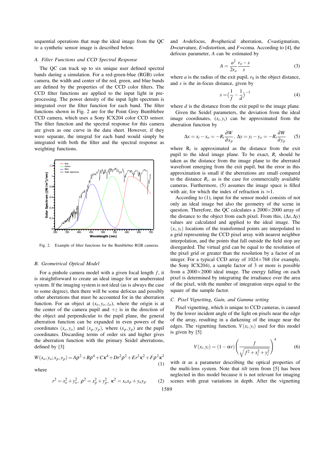sequential operations that map the ideal image from the QC to a synthetic sensor image is described below.

#### *A. Filter Functions and CCD Spectral Response*

The QC can track up to six unique user defined spectral bands during a simulation. For a red-green-blue (RGB) color camera, the width and center of the red, green, and blue bands are defined by the properties of the CCD color filters. The CCD filter functions are applied to the input light in preprocessing. The power density of the input light spectrum is integrated over the filter function for each band. The filter functions shown in Fig. 2 are for the Point Grey Bumblebee CCD camera, which uses a Sony ICX204 color CCD sensor. The filter function and the spectral response for this camera are given as one curve in the data sheet. However, if they were separate, the integral for each band would simply be integrated with both the filter and the spectral response as weighting functions.



Fig. 2. Example of filter functions for the Bumblebee RGB cameras.

#### *B. Geometrical Optical Model*

For a pinhole camera model with a given focal length  $f$ , it is straightforward to create an ideal image for an unaberrated system. If the imaging system is not ideal (as is always the case to some degree), then there will be some defocus and possibly other aberrations that must be accounted for in the aberration function. For an object at  $(x_o, y_o, z_o)$ , where the origin is at the center of the camera pupil and  $+z$  is in the direction of the object and perpendicular to the pupil plane, the general aberration function can be expanded in even powers of the coordinates  $(x_o, y_o)$  and  $(x_p, y_p)$ , where  $(x_p, y_p)$  are the pupil coordinates. Discarding terms of order six and higher gives the aberration function with the primary Seidel aberrations, defined by [3]

$$
W(x_o, y_o; x_p, y_p) = A\rho^2 + B\rho^4 + C\kappa^4 + D r^2 \rho^2 + E r^2 \kappa^2 + F \rho^2 \kappa^2
$$
<sup>(1)</sup>

where

$$
r^{2} = x_{o}^{2} + y_{o}^{2}, \ \rho^{2} = x_{p}^{2} + y_{p}^{2}, \ \kappa^{2} = x_{o}x_{p} + y_{o}y_{p} \tag{2}
$$

and *A*=defocus, *B*=spherical aberration, *C*=astigmatism, *D*=curvature, *E*=distortion, and *F*=coma. According to [4], the defocus parameter, *A* can be estimated by

$$
A = \frac{a^2}{2r_o} \frac{r_o - s}{s} \tag{3}
$$

where *a* is the radius of the exit pupil,  $r_0$  is the object distance, and *s* is the in-focus distance, given by

$$
s = \left(\frac{1}{f} - \frac{1}{d}\right)^{-1} \tag{4}
$$

where *d* is the distance from the exit pupil to the image plane.

Given the Seidel parameters, the deviation from the ideal image coordinates,  $(x_i, y_i)$  can be approximated from the aberration function by

$$
\Delta x = x_i - x_o = -R_i \frac{\partial W}{\partial x_p}, \ \Delta y = y_i - y_o = -R_i \frac{\partial W}{\partial y_p}
$$
 (5)

where  $R_i$  is approximated as the distance from the exit pupil to the ideal image plane. To be exact,  $R_i$  should be taken as the distance from the image plane to the aberrated wavefront emerging from the exit pupil, but the error in this approximation is small if the aberrations are small compared to the distance  $R_i$ , as is the case for commercially available cameras. Furthermore, (5) assumes the image space is filled with air, for which the index of refraction is  $\approx 1$ .

According to (1), input for the sensor model consists of not only an ideal image but also the geometry of the scene in question. Therefore, the QC calculates a 2000×2000 array of the distance to the object from each pixel. From this,  $(\Delta x, \Delta y)$ values are calculated and applied to the ideal image. The  $(x_i, y_i)$  locations of the transformed points are interpolated to a grid representing the CCD pixel array with nearest neighbor interpolation, and the points that fall outside the field stop are disregarded. The virtual grid can be equal to the resolution of the pixel grid or greater than the resolution by a factor of an integer. For a typical CCD array of  $1024 \times 768$  (for example, the Sony ICX204), a sample factor of 3 or more is possible from a  $2000 \times 2000$  ideal image. The energy falling on each pixel is determined by integrating the irradiance over the area of the pixel, with the number of integration steps equal to the square of the sample factor.

### *C. Pixel Vignetting, Gain, and Gamma setting*

Pixel vignetting, which is unique to CCD cameras, is caused by the lower incident angle of the light on pixels near the edge of the array, resulting in a darkening of the image near the edges. The vignetting function,  $V(x_i, y_i)$  used for this model is given by [5]

$$
V(x_i, y_i) = (1 - \alpha r) \left( \frac{f}{\sqrt{f^2 + x_i^2 + y_i^2}} \right)^4 \tag{6}
$$

with  $\alpha$  as a parameter describing the optical properties of the multi-lens system. Note that *tilt* term from [5] has been neglected in this model because it is not relevant for imaging scenes with great variations in depth. After the vignetting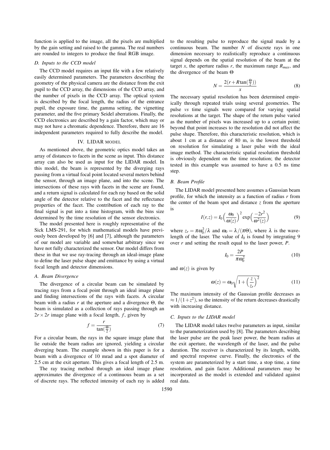function is applied to the image, all the pixels are multiplied by the gain setting and raised to the gamma. The real numbers are rounded to integers to produce the final RGB image.

#### *D. Inputs to the CCD model*

The CCD model requires an input file with a few relatively easily determined parameters. The parameters describing the geometry of the physical camera are the distance from the exit pupil to the CCD array, the dimensions of the CCD array, and the number of pixels in the CCD array. The optical system is described by the focal length, the radius of the entrance pupil, the exposure time, the gamma setting, the vignetting parameter, and the five primary Seidel aberrations. Finally, the CCD electronics are described by a gain factor, which may or may not have a chromatic dependence. Therefore, there are 16 independent parameters required to fully describe the model.

#### IV. LIDAR MODEL

As mentioned above, the geometric optics model takes an array of distances to facets in the scene as input. This distance array can also be used as input for the LIDAR model. In this model, the beam is represented by the diverging rays passing from a virtual focal point located several meters behind the sensor, through an image plane, and into the scene. The intersections of these rays with facets in the scene are found, and a return signal is calculated for each ray based on the solid angle of the detector relative to the facet and the reflectance properties of the facet. The contribution of each ray to the final signal is put into a time histogram, with the bins size determined by the time resolution of the sensor electronics.

The model presented here is roughly representative of the Sick LMS-291, for which mathematical models have previously been developed by [6] and [7], although the parameters of our model are variable and somewhat arbitrary since we have not fully characterized the sensor. Our model differs from these in that we use ray-tracing through an ideal-image plane to define the laser pulse shape and emittance by using a virtual focal length and detector dimensions.

#### *A. Beam Divergence*

The divergence of a circular beam can be simulated by tracing rays from a focal point through an ideal image plane and finding intersections of the rays with facets. A circular beam with a radius *r* at the aperture and a divergence Θ, the beam is simulated as a collection of rays passing through an  $2r \times 2r$  image plane with a focal length, *f*, given by

$$
f = \frac{r}{\tan(\frac{\Theta}{2})}
$$
 (7)

For a circular beam, the rays in the square image plane that lie outside the beam radius are ignored, yielding a circular diverging beam. The example shown in this paper is for a beam with a divergence of 10 mrad and a spot diameter of 2.5 cm at the exit aperture. This gives a focal length of 2.5 m.

The ray tracing method through an ideal image plane approximates the divergence of a continuous beam as a set of discrete rays. The reflected intensity of each ray is added to the resulting pulse to reproduce the signal made by a continuous beam. The number *N* of discrete rays in one dimension necessary to realistically reproduce a continuous signal depends on the spatial resolution of the beam at the target *x*, the aperture radius *r*, the maximum range  $R_{max}$ , and the divergence of the beam Θ

$$
N = \frac{2(r + R \tan(\frac{\Theta}{2}))}{x}
$$
 (8)

The necessary spatial resolution has been determined empirically through repeated trials using several geometries. The pulse *vs* time signals were compared for varying spatial resolutions at the target. The shape of the return pulse varied as the number of pixels was increased up to a certain point; beyond that point increases to the resolution did not affect the pulse shape. Therefore, this characteristic resolution, which is about 1 cm at a distance of 80 m, is the lowest threshold on resolution for simulating a laser pulse with the ideal image method. The characteristic spatial resolution threshold is obviously dependent on the time resolution; the detector tested in this example was assumed to have a 0.5 ns time step.

#### *B. Beam Profile*

The LIDAR model presented here assumes a Gaussian beam profile, for which the intensity as a function of radius *r* from the center of the beam spot and distance  $\zeta$  from the aperture is

$$
I(r,z) = I_0 \left(\frac{\omega_0}{\omega(z)}\right)^2 \exp\left(\frac{-2r^2}{\omega^2(z)}\right)
$$
(9)

where  $z_r = \pi \omega_0^2 / \lambda$  and  $\omega_0 = \lambda / (\pi \Theta)$ , where  $\lambda$  is the wavelength of the laser. The value of  $I_0$  is found by integrating 9 over *r* and setting the result equal to the laser power, *P*.

$$
I_0 = \frac{2P}{\pi \omega_0^2} \tag{10}
$$

and  $\omega(z)$  is given by

$$
\omega(z) = \omega_0 \sqrt{1 + \left(\frac{z}{z_r}\right)^2} \tag{11}
$$

The maximum intensity of the Gaussian profile decreases as  $\approx 1/(1+z^2)$ , so the intensity of the return decreases drastically with increasing distance.

#### *C. Inputs to the LIDAR model*

The LIDAR model takes twelve parameters as input, similar to the parameterization used by [8]. The parameters describing the laser pulse are the peak laser power, the beam radius at the exit aperture, the wavelength of the laser, and the pulse duration. The receiver is characterized by its length, width, and spectral response curve. Finally, the electronics of the system are parameterized by a start time, a stop time, a time resolution, and gain factor. Additional parameters may be incorporated as the model is extended and validated against real data.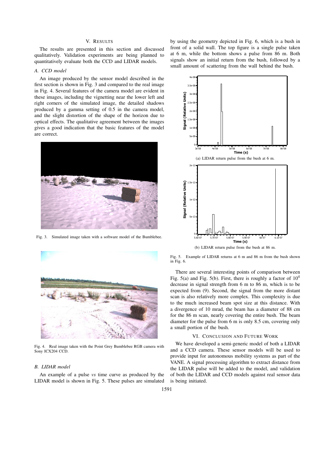## V. RESULTS

The results are presented in this section and discussed qualitatively. Validation experiments are being planned to quantitatively evaluate both the CCD and LIDAR models.

#### *A. CCD model*

An image produced by the sensor model described in the first section is shown in Fig. 3 and compared to the real image in Fig. 4. Several features of the camera model are evident in these images, including the vignetting near the lower left and right corners of the simulated image, the detailed shadows produced by a gamma setting of 0.5 in the camera model, and the slight distortion of the shape of the horizon due to optical effects. The qualitative agreement between the images gives a good indication that the basic features of the model are correct.



Fig. 3. Simulated image taken with a software model of the Bumblebee.



Fig. 4. Real image taken with the Point Grey Bumblebee RGB camera with Sony ICX204 CCD.

#### *B. LIDAR model*

An example of a pulse *vs* time curve as produced by the LIDAR model is shown in Fig. 5. These pulses are simulated by using the geometry depicted in Fig. 6, which is a bush in front of a solid wall. The top figure is a single pulse taken at 6 m, while the bottom shows a pulse from 86 m. Both signals show an initial return from the bush, followed by a small amount of scattering from the wall behind the bush.



Fig. 5. Example of LIDAR returns at 6 m and 86 m from the bush shown

There are several interesting points of comparison between Fig. 5(a) and Fig. 5(b). First, there is roughly a factor of  $10<sup>4</sup>$ decrease in signal strength from 6 m to 86 m, which is to be expected from (9). Second, the signal from the more distant scan is also relatively more complex. This complexity is due to the much increased beam spot size at this distance. With a divergence of 10 mrad, the beam has a diameter of 88 cm for the 86 m scan, nearly covering the entire bush. The beam diameter for the pulse from 6 m is only 8.5 cm, covering only a small portion of the bush.

#### VI. CONCLUSION AND FUTURE WORK

We have developed a semi-generic model of both a LIDAR and a CCD camera. These sensor models will be used to provide input for autonomous mobility systems as part of the VANE. A signal processing algorithm to extract distance from the LIDAR pulse will be added to the model, and validation of both the LIDAR and CCD models against real sensor data is being initiated.

in Fig. 6.